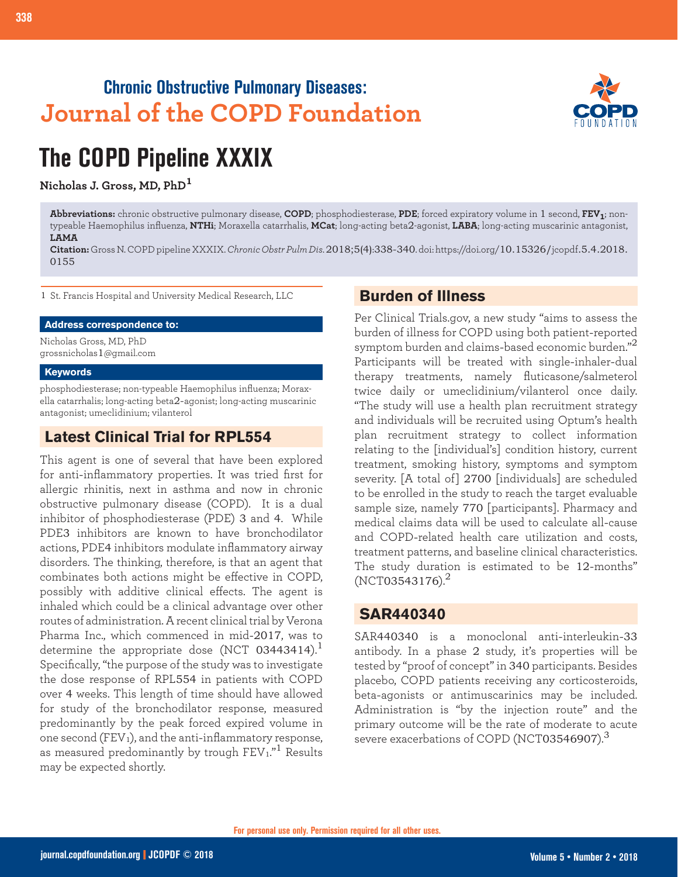## **Chronic Obstructive Pulmonary Diseases: Journal of the COPD Foundation**



# **The COPD Pipeline XXXIX**

**Nicholas J. Gross, MD, PhD<sup>1</sup>**

**Abbreviations:** chronic obstructive pulmonary disease, **COPD**; phosphodiesterase, **PDE**; forced expiratory volume in 1 second, **FEV1**; nontypeable Haemophilus influenza, **NTHi**; Moraxella catarrhalis, **MCat**; long-acting beta2-agonist, **LABA**; long-acting muscarinic antagonist, **LAMA**

**Citation:** Gross N. COPD pipeline XXXIX. *Chronic Obstr Pulm Dis*. 2018;5(4):338-340. doi: https://doi.org/10.15326/jcopdf.5.4.2018. 0155

1 St. Francis Hospital and University Medical Research, LLC

#### **Address correspondence to:**

Nicholas Gross, MD, PhD grossnicholas1@gmail.com

#### **Keywords**

phosphodiesterase; non-typeable Haemophilus influenza; Moraxella catarrhalis; long-acting beta2-agonist; long-acting muscarinic antagonist; umeclidinium; vilanterol

## **Latest Clinical Trial for RPL554**

This agent is one of several that have been explored for anti-inflammatory properties. It was tried first for allergic rhinitis, next in asthma and now in chronic obstructive pulmonary disease (COPD). It is a dual inhibitor of phosphodiesterase (PDE) 3 and 4. While PDE3 inhibitors are known to have bronchodilator actions, PDE4 inhibitors modulate inflammatory airway disorders. The thinking, therefore, is that an agent that combinates both actions might be effective in COPD, possibly with additive clinical effects. The agent is inhaled which could be a clinical advantage over other routes of administration. A recent clinical trial by Verona Pharma Inc., which commenced in mid-2017, was to determine the appropriate dose (NCT 03443414).<sup>1</sup> Specifically, "the purpose of the study was to investigate the dose response of RPL554 in patients with COPD over 4 weeks. This length of time should have allowed for study of the bronchodilator response, measured predominantly by the peak forced expired volume in one second  $(FEV<sub>1</sub>)$ , and the anti-inflammatory response, as measured predominantly by trough FEV<sub>1."</sub><sup>1</sup> Results may be expected shortly.

#### **Burden of Illness**

Per Clinical Trials.gov, a new study "aims to assess the burden of illness for COPD using both patient-reported symptom burden and claims-based economic burden." $^{\rm 2}$ Participants will be treated with single-inhaler-dual therapy treatments, namely fluticasone/salmeterol twice daily or umeclidinium/vilanterol once daily. "The study will use a health plan recruitment strategy and individuals will be recruited using Optum's health plan recruitment strategy to collect information relating to the [individual's] condition history, current treatment, smoking history, symptoms and symptom severity. [A total of] 2700 [individuals] are scheduled to be enrolled in the study to reach the target evaluable sample size, namely 770 [participants]. Pharmacy and medical claims data will be used to calculate all-cause and COPD-related health care utilization and costs, treatment patterns, and baseline clinical characteristics. The study duration is estimated to be 12-months"  $(NCT03543176).^{2}$ 

#### **SAR440340**

SAR440340 is a monoclonal anti-interleukin-33 antibody. In a phase 2 study, it's properties will be tested by "proof of concept" in 340 participants. Besides placebo, COPD patients receiving any corticosteroids, beta-agonists or antimuscarinics may be included. Administration is "by the injection route" and the primary outcome will be the rate of moderate to acute severe exacerbations of COPD (NCT03546907).<sup>3</sup>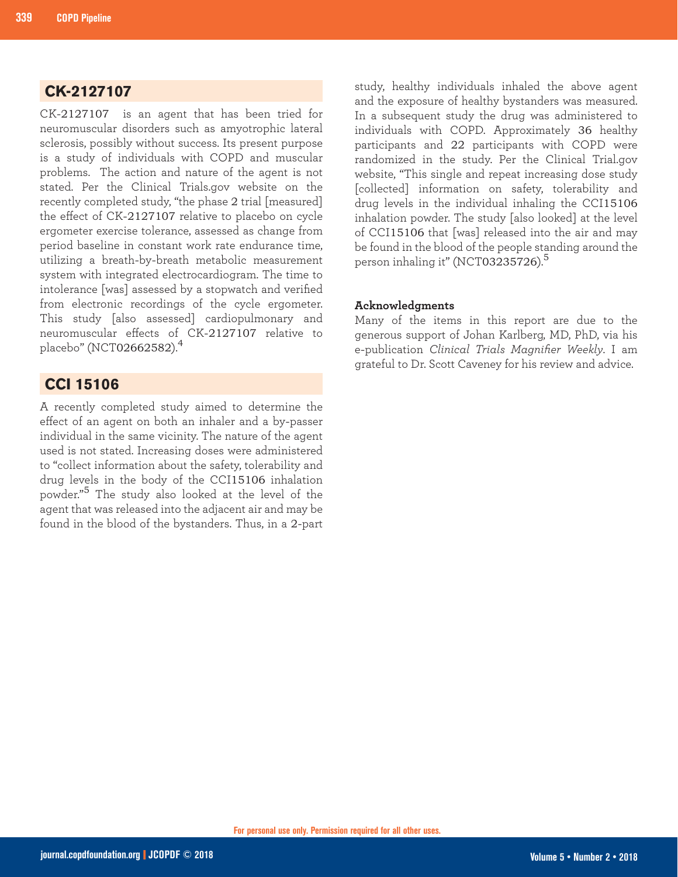## **CK-2127107**

CK-2127107 is an agent that has been tried for neuromuscular disorders such as amyotrophic lateral sclerosis, possibly without success. Its present purpose is a study of individuals with COPD and muscular problems. The action and nature of the agent is not stated. Per the Clinical Trials.gov website on the recently completed study, "the phase 2 trial [measured] the effect of CK-2127107 relative to placebo on cycle ergometer exercise tolerance, assessed as change from period baseline in constant work rate endurance time, utilizing a breath-by-breath metabolic measurement system with integrated electrocardiogram. The time to intolerance [was] assessed by a stopwatch and verified from electronic recordings of the cycle ergometer. This study [also assessed] cardiopulmonary and neuromuscular effects of CK-2127107 relative to placebo" (NCT02662582).<sup>4</sup>

## **CCI 15106**

A recently completed study aimed to determine the effect of an agent on both an inhaler and a by-passer individual in the same vicinity. The nature of the agent used is not stated. Increasing doses were administered to "collect information about the safety, tolerability and drug levels in the body of the CCI15106 inhalation powder."5 The study also looked at the level of the agent that was released into the adjacent air and may be found in the blood of the bystanders. Thus, in a 2-part

study, healthy individuals inhaled the above agent and the exposure of healthy bystanders was measured. In a subsequent study the drug was administered to individuals with COPD. Approximately 36 healthy participants and 22 participants with COPD were randomized in the study. Per the Clinical Trial.gov website, "This single and repeat increasing dose study [collected] information on safety, tolerability and drug levels in the individual inhaling the CCI15106 inhalation powder. The study [also looked] at the level of CCI15106 that [was] released into the air and may be found in the blood of the people standing around the person inhaling it" (NCT03235726). $5$ 

#### **Acknowledgments**

Many of the items in this report are due to the generous support of Johan Karlberg, MD, PhD, via his e-publication *Clinical Trials Magnifier Weekly*. I am grateful to Dr. Scott Caveney for his review and advice.